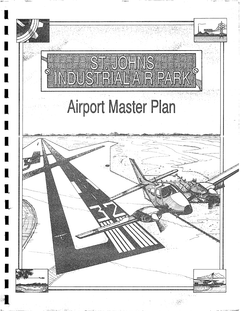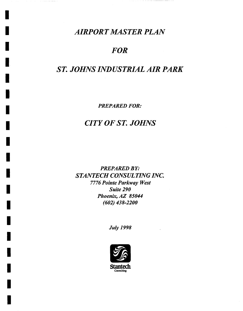### *I AIRPORT MASTER PLAN*

*I* 

*I* 

*I* 

*I* 

*I* 

*I* 

*I* 

*I* 

*I* 

### *I FOR*

# *! ST. JOHNS INDUSTRIAL AIR PARK*

*i PREPARED FOR:* 

## *I CITY OF ST. JOHNS*

PREPARED BY: *STANTECH CONSULTING INC. 7776 Pointe Parkway West I Suite 290 Phoenix, AZ 85044 I (602) 438-2200* 

*I July 1998* 

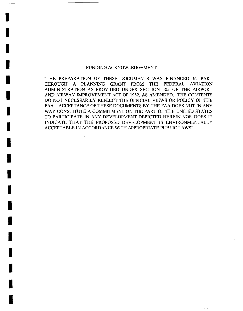#### FUNDING ACKNOWLEDGEMENT

I

I

I

I

I

I

I

I

I

I

I

I

I

I

**!** 

I

I

I

I

"THE PREPARATION OF THESE DOCUMENTS WAS FINANCED IN PART THROUGH A PLANNING GRANT FROM THE FEDERAL AVIATION ADMINISTRATION AS PROVIDED UNDER SECTION 505 OF THE AIRPORT AND AIRWAY IMPROVEMENT ACT OF 1982, AS AMENDED. THE CONTENTS DO NOT NECESSARILY REFLECT THE OFFICIAL VIEWS OR POLICY OF THE FAA. ACCEPTANCE OF THESE DOCUMENTS BY THE FAA DOES NOT IN ANY WAY CONSTITUTE A COMMITMENT ON THE PART OF THE UNITED STATES TO PARTICIPATE IN ANY DEVELOPMENT DEPICTED HEREIN NOR DOES IT INDICATE THAT THE PROPOSED DEVELOPMENT IS ENVIRONMENTALLY ACCEPTABLE IN ACCORDANCE WITH APPROPRIATE PUBLIC LAWS"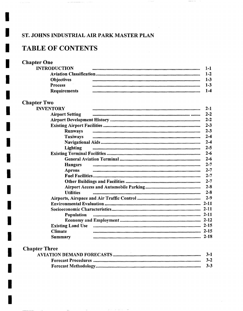### ST. JOHNS INDUSTRIAL AIR PARK MASTER PLAN

 $\label{eq:3.1} \omega_{\sigma} \left( \tau \right) = \omega_{\sigma} \left( \tau \right) = \omega_{\sigma} \left( \tau \right) = \omega_{\sigma} \left( \tau \right) = \omega_{\sigma} \left( \tau \right) = \omega_{\sigma} \left( \tau \right)$ 

### **TABLE OF CONTENTS**

#### **Chapter One**

 $\hat{\pi}$  ,  $\hat{\pi}$  ,  $\hat{\pi}$  ,  $\hat{\pi}$ 

| <b>INTRODUCTION</b> |         |
|---------------------|---------|
|                     | 1-2     |
| <b>Objectives</b>   | $1 - 3$ |
| <b>Process</b>      | 1-3     |
| <b>Requirements</b> | $-4$    |

 $\sim$   $\sim$ 

 $\sim$   $\sim$ 

### **Chapter Two**

| <b>INVENTORY</b>       |                                                                                                 | $2 - 1$ |
|------------------------|-------------------------------------------------------------------------------------------------|---------|
| <b>Airport Setting</b> |                                                                                                 | $2 - 2$ |
|                        |                                                                                                 | $2 - 2$ |
|                        |                                                                                                 | $2 - 3$ |
| <b>Runways</b>         |                                                                                                 | $2 - 3$ |
| <b>Taxiways</b>        |                                                                                                 | $2 - 4$ |
|                        |                                                                                                 | $2 - 4$ |
| <b>Lighting</b>        |                                                                                                 | $2 - 5$ |
|                        |                                                                                                 | $2 - 6$ |
|                        |                                                                                                 | $2 - 6$ |
| Hangars                |                                                                                                 | $2 - 7$ |
| <b>Aprons</b>          |                                                                                                 | $2 - 7$ |
|                        |                                                                                                 | $2 - 7$ |
|                        |                                                                                                 | $2 - 7$ |
|                        |                                                                                                 | $2 - 8$ |
| <b>Utilities</b>       |                                                                                                 | $2 - 8$ |
|                        |                                                                                                 | $2 - 9$ |
|                        |                                                                                                 |         |
|                        |                                                                                                 |         |
| <b>Population</b>      |                                                                                                 |         |
|                        |                                                                                                 |         |
|                        | Existing Land Use <i>manual communications communications communications communication</i> 2-15 |         |
| <b>Climate</b>         |                                                                                                 |         |
| <b>Summary</b>         |                                                                                                 | 2-18    |

#### **Chapter Three**

 $\frac{1}{2}$ 

| $3 - 1$ |
|---------|
| $3 - 2$ |
| $3 - 3$ |

 $\mathcal{L}_{\mathcal{A}}$  , and  $\mathcal{L}_{\mathcal{A}}$  , and the set of  $\mathcal{A}$  ,  $\mathcal{A}$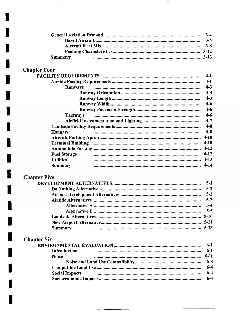|         | $3-4$ |
|---------|-------|
|         | $3-4$ |
|         |       |
|         |       |
| Summary |       |

 $\sim$   $\sim$ 

 $\sim$  $\ldots$   $\sim$  -  $\sim$ 

 $\label{eq:1} \alpha_{\alpha\beta\gamma} = \alpha_{\alpha\beta\gamma} + \alpha_{\beta\gamma\gamma} = \alpha_{\beta\gamma\gamma}$ 

## **Chapter Four**

 $\label{eq:1} \begin{split} \mathcal{L}_{\text{max}}(\mathcal{L}_{\text{max}},\mathcal{L}_{\text{max}},\mathcal{L}_{\text{max}},\mathcal{L}_{\text{max}}), \mathcal{L}_{\text{max}}(\mathcal{L}_{\text{max}},\mathcal{L}_{\text{max}}), \mathcal{L}_{\text{max}}(\mathcal{L}_{\text{max}},\mathcal{L}_{\text{max}}), \mathcal{L}_{\text{max}}(\mathcal{L}_{\text{max}},\mathcal{L}_{\text{max}}), \mathcal{L}_{\text{max}}(\mathcal{L}_{\text{max}},\mathcal{L}_{\text{max}}), \mathcal{L}_{\text{max}}(\mathcal{L$ 

|                            | $4 - 1$  |
|----------------------------|----------|
|                            | $4 - 1$  |
| $\cdots$<br><b>Runways</b> | $4 - 3$  |
|                            | $4 - 3$  |
|                            | $4 - 3$  |
|                            | $4 - 6$  |
|                            | $4 - 6$  |
| <b>Taxiways</b>            | $4 - 6$  |
|                            | $4 - 7$  |
|                            | $4 - 8$  |
| <b>Hangars</b>             | $-4-8$   |
|                            |          |
|                            | $4 - 10$ |
|                            |          |
| <b>Fuel Storage</b>        |          |
| <b>Utilities</b>           |          |
| Summary                    | 4-14     |
|                            |          |

# **Chapter Five**

I

| $5-1$   |
|---------|
| $5 - 2$ |
|         |
| $5 - 3$ |
| $5-4$   |
| $5 - 5$ |
|         |
|         |
|         |

# **Chapter Six**

|              | $6-1$   |
|--------------|---------|
| Introduction | $6-1$   |
| <b>Noise</b> |         |
|              |         |
|              | $6 - 4$ |
|              | $6 - 4$ |
|              | $6 - 4$ |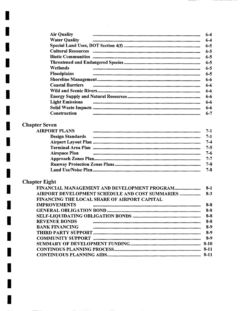| <b>Air Quality</b>      | 6-4     |
|-------------------------|---------|
| <b>Water Quality</b>    | $6 - 4$ |
|                         |         |
|                         | $6 - 5$ |
|                         | $6 - 5$ |
|                         | $6 - 5$ |
|                         | $6 - 5$ |
| Wetlands                | $6 - 5$ |
| <b>Floodplains</b>      | $6 - 5$ |
|                         | 6-6     |
| <b>Coastal Barriers</b> | 6-6     |
|                         | 6-6     |
|                         | 6-6     |
| <b>Light Emissions</b>  | 6-6     |
|                         | 6-6     |
| Construction            | 6-7     |

### **Chapter Seven**

| Design Standards ( <i>mammammammammammammammammammammammam</i> | $7-1$   |
|----------------------------------------------------------------|---------|
|                                                                | $7 - 4$ |
|                                                                | $7 - 5$ |
| Airspace Plan <i>mummummummummummummummummummummum</i>         | $7 - 6$ |
|                                                                | $7 - 7$ |
|                                                                | $7 - 8$ |
|                                                                | $7 - 8$ |

### **Chapter Eight**

I

|                                                     | $8-1$    |
|-----------------------------------------------------|----------|
| AIRPORT DEVELOPMENT SCHEDULE AND COST SUMMARIES     | $8 - 3$  |
| <b>FINANCING THE LOCAL SHARE OF AIRPORT CAPITAL</b> |          |
| <b>IMPROVEMENTS</b>                                 | $8 - 8$  |
|                                                     | $8 - 8$  |
|                                                     | $8 - 8$  |
| <b>REVENUE BONDS</b>                                | $8-8$    |
| <b>BANK FINANCING</b>                               | $8-9$    |
|                                                     | $8-9$    |
|                                                     | $8-9$    |
|                                                     | $8 - 10$ |
|                                                     | -8-11    |
|                                                     |          |
|                                                     |          |